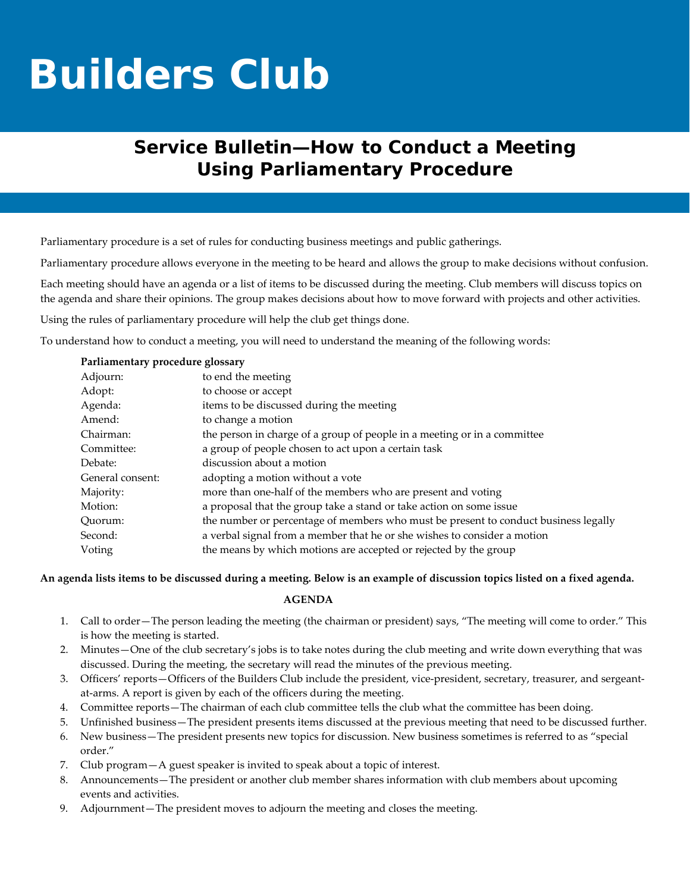# **Builders Club**

## **Service Bulletin—How to Conduct a Meeting Using Parliamentary Procedure**

Parliamentary procedure is a set of rules for conducting business meetings and public gatherings.

Parliamentary procedure allows everyone in the meeting to be heard and allows the group to make decisions without confusion.

Each meeting should have an agenda or a list of items to be discussed during the meeting. Club members will discuss topics on the agenda and share their opinions. The group makes decisions about how to move forward with projects and other activities.

Using the rules of parliamentary procedure will help the club get things done.

To understand how to conduct a meeting, you will need to understand the meaning of the following words:

| Parliamentary procedure glossary |  |  |
|----------------------------------|--|--|
|----------------------------------|--|--|

| Adjourn:         | to end the meeting                                                                  |
|------------------|-------------------------------------------------------------------------------------|
| Adopt:           | to choose or accept                                                                 |
| Agenda:          | items to be discussed during the meeting                                            |
| Amend:           | to change a motion                                                                  |
| Chairman:        | the person in charge of a group of people in a meeting or in a committee            |
| Committee:       | a group of people chosen to act upon a certain task                                 |
| Debate:          | discussion about a motion                                                           |
| General consent: | adopting a motion without a vote                                                    |
| Majority:        | more than one-half of the members who are present and voting                        |
| Motion:          | a proposal that the group take a stand or take action on some issue                 |
| Ouorum:          | the number or percentage of members who must be present to conduct business legally |
| Second:          | a verbal signal from a member that he or she wishes to consider a motion            |
| Voting           | the means by which motions are accepted or rejected by the group                    |

An agenda lists items to be discussed during a meeting. Below is an example of discussion topics listed on a fixed agenda.

#### **AGENDA**

- 1. Call to order—The person leading the meeting (the chairman or president) says, "The meeting will come to order." This is how the meeting is started.
- 2. Minutes—One of the club secretary's jobs is to take notes during the club meeting and write down everything that was discussed. During the meeting, the secretary will read the minutes of the previous meeting.
- 3. Officers' reports—Officers of the Builders Club include the president, vice-president, secretary, treasurer, and sergeantat-arms. A report is given by each of the officers during the meeting.
- 4. Committee reports—The chairman of each club committee tells the club what the committee has been doing.
- 5. Unfinished business—The president presents items discussed at the previous meeting that need to be discussed further.
- 6. New business—The president presents new topics for discussion. New business sometimes is referred to as "special order."
- 7. Club program—A guest speaker is invited to speak about a topic of interest.
- 8. Announcements—The president or another club member shares information with club members about upcoming events and activities.
- 9. Adjournment—The president moves to adjourn the meeting and closes the meeting.